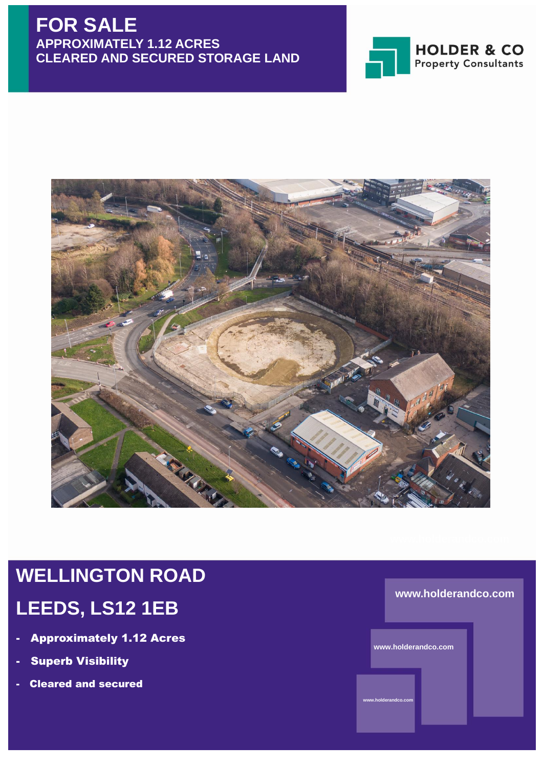## **FOR SALE APPROXIMATELY 1.12 ACRES CLEARED AND SECURED STORAGE LAND**





# **WELLINGTON ROAD LEEDS, LS12 1EB**

- **Approximately 1.12 Acres**
- Superb Visibility
- Cleared and secured

#### **www.holderandco.com**

**www.holderandco.com**

**www.holderandco.com**